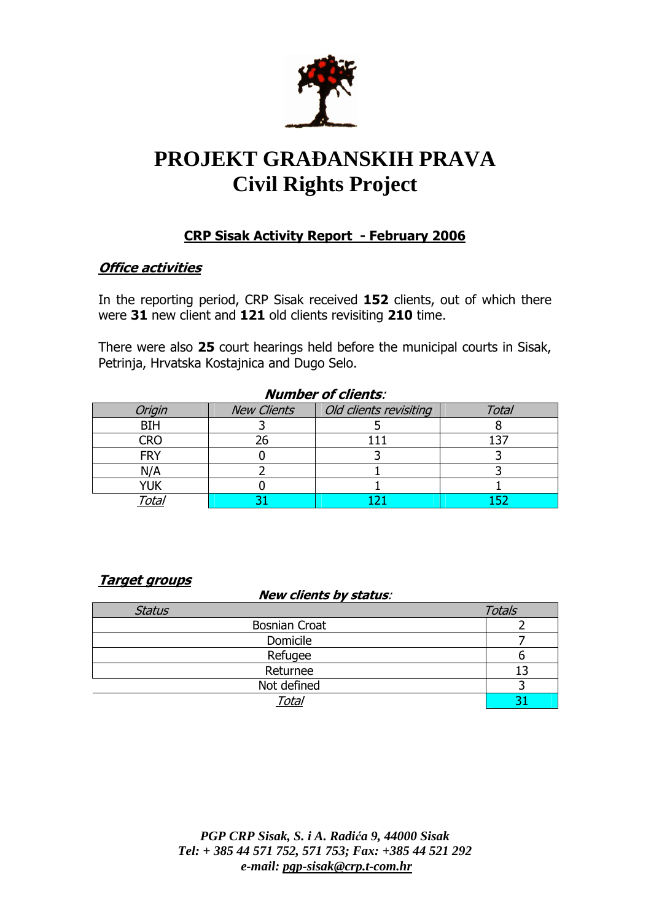

# **PROJEKT GRA**ð**ANSKIH PRAVA Civil Rights Project**

## CRP Sisak Activity Report - February 2006

#### **Office activities**

In the reporting period, CRP Sisak received 152 clients, out of which there were 31 new client and 121 old clients revisiting 210 time.

There were also 25 court hearings held before the municipal courts in Sisak, Petrinja, Hrvatska Kostajnica and Dugo Selo.

| <b>Number of clients:</b> |                    |                        |              |  |
|---------------------------|--------------------|------------------------|--------------|--|
| Origin                    | <b>New Clients</b> | Old clients revisiting | <b>Total</b> |  |
| <b>BIH</b>                |                    |                        |              |  |
| <b>CRO</b>                |                    |                        | 137          |  |
| <b>FRY</b>                |                    |                        |              |  |
| N/A                       |                    |                        |              |  |
| YUK                       |                    |                        |              |  |
| <sup>r</sup> otal         |                    |                        |              |  |

#### Target groups

#### New clients by status:

| <b>Status</b>        | <b>Totals</b> |
|----------------------|---------------|
| <b>Bosnian Croat</b> |               |
| Domicile             |               |
| Refugee              |               |
| Returnee             |               |
| Not defined          |               |
| Total                |               |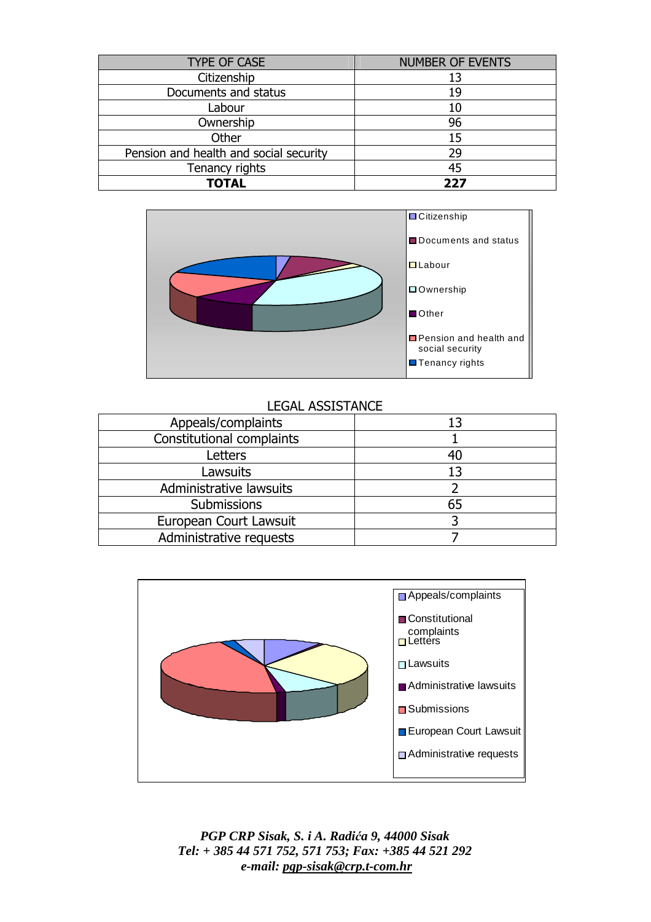| <b>TYPE OF CASE</b>                    | <b>NUMBER OF EVENTS</b> |
|----------------------------------------|-------------------------|
| Citizenship                            | 13                      |
| Documents and status                   | 19                      |
| Labour                                 | 10                      |
| Ownership                              | 96                      |
| Other                                  | 15                      |
| Pension and health and social security | 29                      |
| Tenancy rights                         | 45                      |
| <b>TOTAL</b>                           | フフフ                     |



#### LEGAL ASSISTANCE

| Appeals/complaints        | 13 |
|---------------------------|----|
| Constitutional complaints |    |
| Letters                   | 40 |
| Lawsuits                  | 13 |
| Administrative lawsuits   |    |
| Submissions               | 65 |
| European Court Lawsuit    |    |
| Administrative requests   |    |

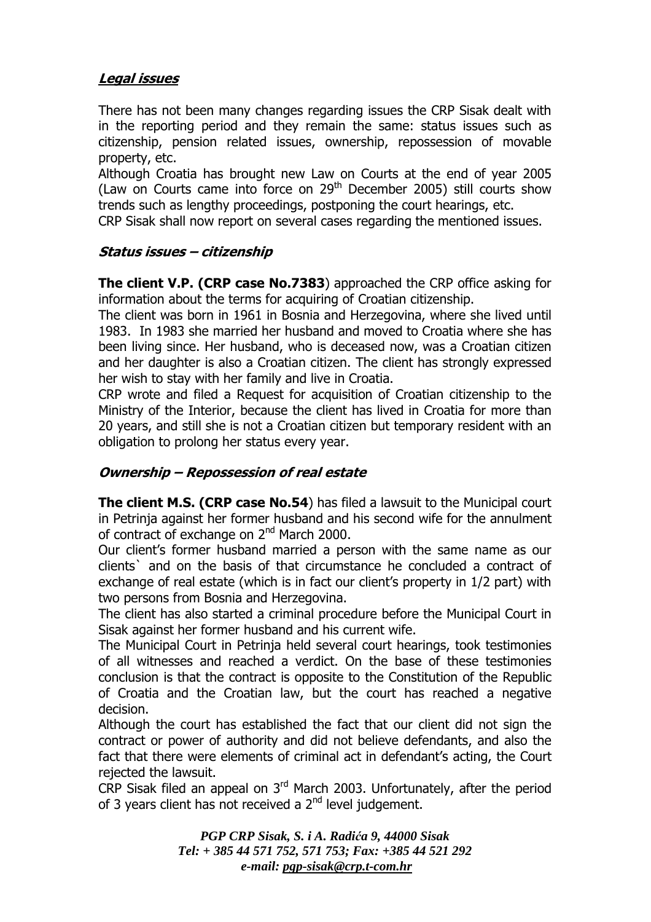## Legal issues

There has not been many changes regarding issues the CRP Sisak dealt with in the reporting period and they remain the same: status issues such as citizenship, pension related issues, ownership, repossession of movable property, etc.

Although Croatia has brought new Law on Courts at the end of year 2005 (Law on Courts came into force on  $29<sup>th</sup>$  December 2005) still courts show trends such as lengthy proceedings, postponing the court hearings, etc.

CRP Sisak shall now report on several cases regarding the mentioned issues.

## Status issues – citizenship

The client V.P. (CRP case No.7383) approached the CRP office asking for information about the terms for acquiring of Croatian citizenship.

The client was born in 1961 in Bosnia and Herzegovina, where she lived until 1983. In 1983 she married her husband and moved to Croatia where she has been living since. Her husband, who is deceased now, was a Croatian citizen and her daughter is also a Croatian citizen. The client has strongly expressed her wish to stay with her family and live in Croatia.

CRP wrote and filed a Request for acquisition of Croatian citizenship to the Ministry of the Interior, because the client has lived in Croatia for more than 20 years, and still she is not a Croatian citizen but temporary resident with an obligation to prolong her status every year.

#### Ownership – Repossession of real estate

The client M.S. (CRP case No.54) has filed a lawsuit to the Municipal court in Petrinja against her former husband and his second wife for the annulment of contract of exchange on 2<sup>nd</sup> March 2000.

Our client's former husband married a person with the same name as our clients` and on the basis of that circumstance he concluded a contract of exchange of real estate (which is in fact our client's property in 1/2 part) with two persons from Bosnia and Herzegovina.

The client has also started a criminal procedure before the Municipal Court in Sisak against her former husband and his current wife.

The Municipal Court in Petrinja held several court hearings, took testimonies of all witnesses and reached a verdict. On the base of these testimonies conclusion is that the contract is opposite to the Constitution of the Republic of Croatia and the Croatian law, but the court has reached a negative decision.

Although the court has established the fact that our client did not sign the contract or power of authority and did not believe defendants, and also the fact that there were elements of criminal act in defendant's acting, the Court rejected the lawsuit.

CRP Sisak filed an appeal on  $3<sup>rd</sup>$  March 2003. Unfortunately, after the period of 3 years client has not received a 2<sup>nd</sup> level judgement.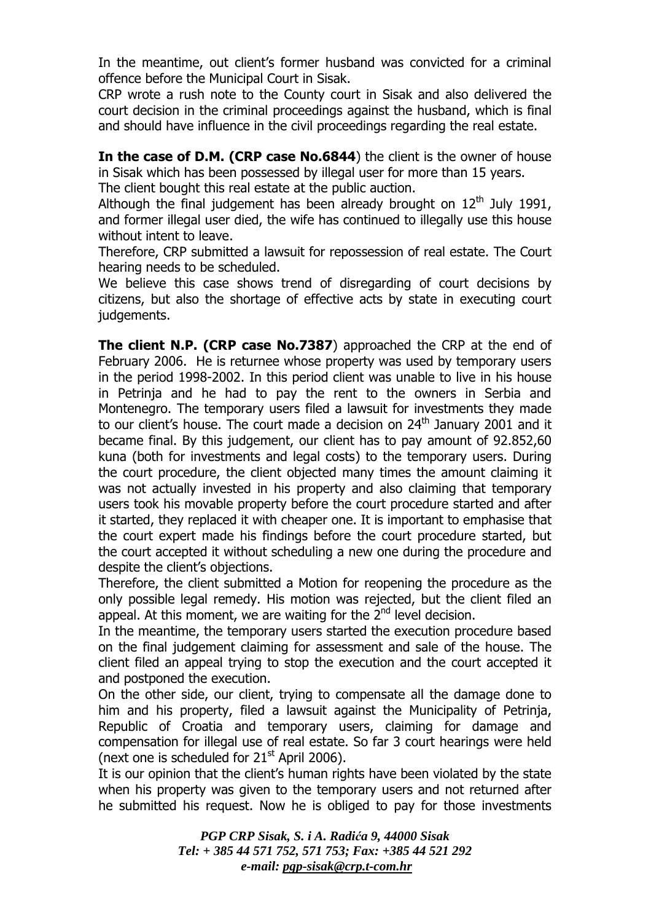In the meantime, out client's former husband was convicted for a criminal offence before the Municipal Court in Sisak.

CRP wrote a rush note to the County court in Sisak and also delivered the court decision in the criminal proceedings against the husband, which is final and should have influence in the civil proceedings regarding the real estate.

In the case of D.M. (CRP case No.6844) the client is the owner of house in Sisak which has been possessed by illegal user for more than 15 years. The client bought this real estate at the public auction.

Although the final judgement has been already brought on  $12<sup>th</sup>$  July 1991, and former illegal user died, the wife has continued to illegally use this house without intent to leave.

Therefore, CRP submitted a lawsuit for repossession of real estate. The Court hearing needs to be scheduled.

We believe this case shows trend of disregarding of court decisions by citizens, but also the shortage of effective acts by state in executing court judgements.

The client N.P. (CRP case No.7387) approached the CRP at the end of February 2006. He is returnee whose property was used by temporary users in the period 1998-2002. In this period client was unable to live in his house in Petrinja and he had to pay the rent to the owners in Serbia and Montenegro. The temporary users filed a lawsuit for investments they made to our client's house. The court made a decision on  $24<sup>th</sup>$  January 2001 and it became final. By this judgement, our client has to pay amount of 92.852,60 kuna (both for investments and legal costs) to the temporary users. During the court procedure, the client objected many times the amount claiming it was not actually invested in his property and also claiming that temporary users took his movable property before the court procedure started and after it started, they replaced it with cheaper one. It is important to emphasise that the court expert made his findings before the court procedure started, but the court accepted it without scheduling a new one during the procedure and despite the client's objections.

Therefore, the client submitted a Motion for reopening the procedure as the only possible legal remedy. His motion was rejected, but the client filed an appeal. At this moment, we are waiting for the  $2^{nd}$  level decision.

In the meantime, the temporary users started the execution procedure based on the final judgement claiming for assessment and sale of the house. The client filed an appeal trying to stop the execution and the court accepted it and postponed the execution.

On the other side, our client, trying to compensate all the damage done to him and his property, filed a lawsuit against the Municipality of Petrinja, Republic of Croatia and temporary users, claiming for damage and compensation for illegal use of real estate. So far 3 court hearings were held (next one is scheduled for  $21<sup>st</sup>$  April 2006).

It is our opinion that the client's human rights have been violated by the state when his property was given to the temporary users and not returned after he submitted his request. Now he is obliged to pay for those investments